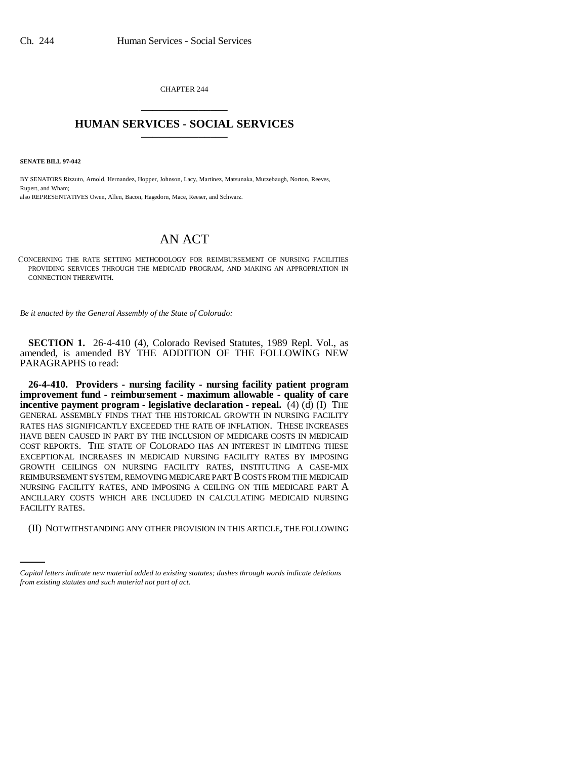CHAPTER 244 \_\_\_\_\_\_\_\_\_\_\_\_\_\_\_

## **HUMAN SERVICES - SOCIAL SERVICES** \_\_\_\_\_\_\_\_\_\_\_\_\_\_\_

**SENATE BILL 97-042**

BY SENATORS Rizzuto, Arnold, Hernandez, Hopper, Johnson, Lacy, Martinez, Matsunaka, Mutzebaugh, Norton, Reeves, Rupert, and Wham; also REPRESENTATIVES Owen, Allen, Bacon, Hagedorn, Mace, Reeser, and Schwarz.

## AN ACT

CONCERNING THE RATE SETTING METHODOLOGY FOR REIMBURSEMENT OF NURSING FACILITIES PROVIDING SERVICES THROUGH THE MEDICAID PROGRAM, AND MAKING AN APPROPRIATION IN CONNECTION THEREWITH.

*Be it enacted by the General Assembly of the State of Colorado:*

**SECTION 1.** 26-4-410 (4), Colorado Revised Statutes, 1989 Repl. Vol., as amended, is amended BY THE ADDITION OF THE FOLLOWING NEW PARAGRAPHS to read:

FACILITY RATES. **26-4-410. Providers - nursing facility - nursing facility patient program improvement fund - reimbursement - maximum allowable - quality of care incentive payment program - legislative declaration - repeal.** (4) (d) (I) THE GENERAL ASSEMBLY FINDS THAT THE HISTORICAL GROWTH IN NURSING FACILITY RATES HAS SIGNIFICANTLY EXCEEDED THE RATE OF INFLATION. THESE INCREASES HAVE BEEN CAUSED IN PART BY THE INCLUSION OF MEDICARE COSTS IN MEDICAID COST REPORTS. THE STATE OF COLORADO HAS AN INTEREST IN LIMITING THESE EXCEPTIONAL INCREASES IN MEDICAID NURSING FACILITY RATES BY IMPOSING GROWTH CEILINGS ON NURSING FACILITY RATES, INSTITUTING A CASE-MIX REIMBURSEMENT SYSTEM, REMOVING MEDICARE PART B COSTS FROM THE MEDICAID NURSING FACILITY RATES, AND IMPOSING A CEILING ON THE MEDICARE PART A ANCILLARY COSTS WHICH ARE INCLUDED IN CALCULATING MEDICAID NURSING

(II) NOTWITHSTANDING ANY OTHER PROVISION IN THIS ARTICLE, THE FOLLOWING

*Capital letters indicate new material added to existing statutes; dashes through words indicate deletions from existing statutes and such material not part of act.*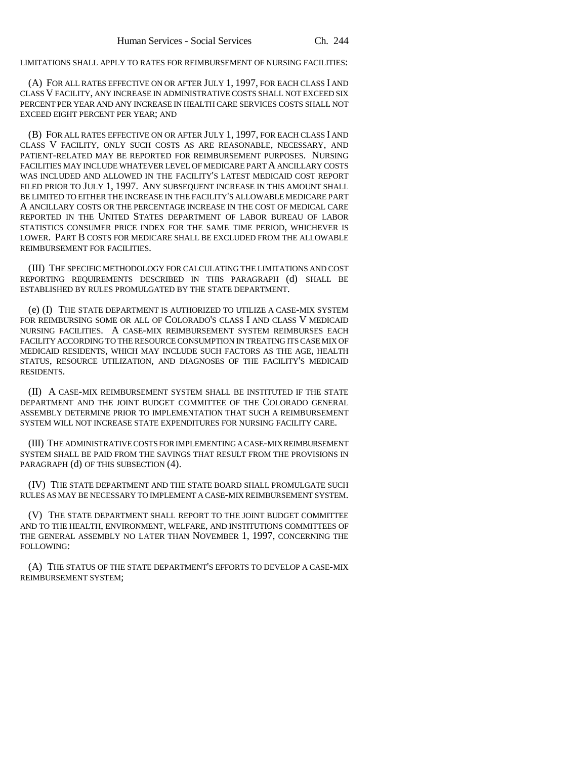LIMITATIONS SHALL APPLY TO RATES FOR REIMBURSEMENT OF NURSING FACILITIES:

(A) FOR ALL RATES EFFECTIVE ON OR AFTER JULY 1, 1997, FOR EACH CLASS I AND CLASS V FACILITY, ANY INCREASE IN ADMINISTRATIVE COSTS SHALL NOT EXCEED SIX PERCENT PER YEAR AND ANY INCREASE IN HEALTH CARE SERVICES COSTS SHALL NOT EXCEED EIGHT PERCENT PER YEAR; AND

(B) FOR ALL RATES EFFECTIVE ON OR AFTER JULY 1, 1997, FOR EACH CLASS I AND CLASS V FACILITY, ONLY SUCH COSTS AS ARE REASONABLE, NECESSARY, AND PATIENT-RELATED MAY BE REPORTED FOR REIMBURSEMENT PURPOSES. NURSING FACILITIES MAY INCLUDE WHATEVER LEVEL OF MEDICARE PART A ANCILLARY COSTS WAS INCLUDED AND ALLOWED IN THE FACILITY'S LATEST MEDICAID COST REPORT FILED PRIOR TO JULY 1, 1997. ANY SUBSEQUENT INCREASE IN THIS AMOUNT SHALL BE LIMITED TO EITHER THE INCREASE IN THE FACILITY'S ALLOWABLE MEDICARE PART A ANCILLARY COSTS OR THE PERCENTAGE INCREASE IN THE COST OF MEDICAL CARE REPORTED IN THE UNITED STATES DEPARTMENT OF LABOR BUREAU OF LABOR STATISTICS CONSUMER PRICE INDEX FOR THE SAME TIME PERIOD, WHICHEVER IS LOWER. PART B COSTS FOR MEDICARE SHALL BE EXCLUDED FROM THE ALLOWABLE REIMBURSEMENT FOR FACILITIES.

(III) THE SPECIFIC METHODOLOGY FOR CALCULATING THE LIMITATIONS AND COST REPORTING REQUIREMENTS DESCRIBED IN THIS PARAGRAPH (d) SHALL BE ESTABLISHED BY RULES PROMULGATED BY THE STATE DEPARTMENT.

(e) (I) THE STATE DEPARTMENT IS AUTHORIZED TO UTILIZE A CASE-MIX SYSTEM FOR REIMBURSING SOME OR ALL OF COLORADO'S CLASS I AND CLASS V MEDICAID NURSING FACILITIES. A CASE-MIX REIMBURSEMENT SYSTEM REIMBURSES EACH FACILITY ACCORDING TO THE RESOURCE CONSUMPTION IN TREATING ITS CASE MIX OF MEDICAID RESIDENTS, WHICH MAY INCLUDE SUCH FACTORS AS THE AGE, HEALTH STATUS, RESOURCE UTILIZATION, AND DIAGNOSES OF THE FACILITY'S MEDICAID RESIDENTS.

(II) A CASE-MIX REIMBURSEMENT SYSTEM SHALL BE INSTITUTED IF THE STATE DEPARTMENT AND THE JOINT BUDGET COMMITTEE OF THE COLORADO GENERAL ASSEMBLY DETERMINE PRIOR TO IMPLEMENTATION THAT SUCH A REIMBURSEMENT SYSTEM WILL NOT INCREASE STATE EXPENDITURES FOR NURSING FACILITY CARE.

(III) THE ADMINISTRATIVE COSTS FOR IMPLEMENTING A CASE-MIX REIMBURSEMENT SYSTEM SHALL BE PAID FROM THE SAVINGS THAT RESULT FROM THE PROVISIONS IN PARAGRAPH (d) OF THIS SUBSECTION (4).

(IV) THE STATE DEPARTMENT AND THE STATE BOARD SHALL PROMULGATE SUCH RULES AS MAY BE NECESSARY TO IMPLEMENT A CASE-MIX REIMBURSEMENT SYSTEM.

(V) THE STATE DEPARTMENT SHALL REPORT TO THE JOINT BUDGET COMMITTEE AND TO THE HEALTH, ENVIRONMENT, WELFARE, AND INSTITUTIONS COMMITTEES OF THE GENERAL ASSEMBLY NO LATER THAN NOVEMBER 1, 1997, CONCERNING THE FOLLOWING:

(A) THE STATUS OF THE STATE DEPARTMENT'S EFFORTS TO DEVELOP A CASE-MIX REIMBURSEMENT SYSTEM;